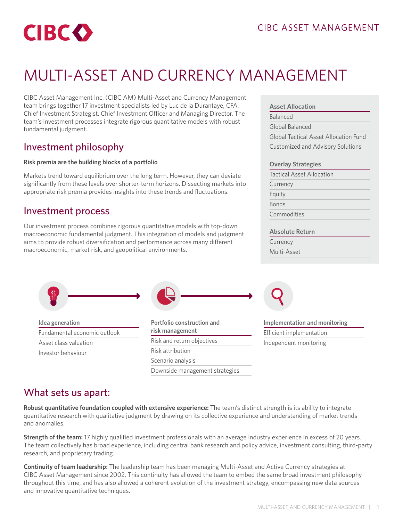

# MULTI-ASSET AND CURRENCY MANAGEMENT

CIBC Asset Management Inc. (CIBC AM) Multi-Asset and Currency Management team brings together 17 investment specialists led by Luc de la Durantaye, CFA, Chief Investment Strategist, Chief Investment Officer and Managing Director. The team's investment processes integrate rigorous quantitative models with robust fundamental judgment.

### Investment philosophy

#### **Risk premia are the building blocks of a portfolio**

Markets trend toward equilibrium over the long term. However, they can deviate significantly from these levels over shorter-term horizons. Dissecting markets into appropriate risk premia provides insights into these trends and fluctuations.

### Investment process

Our investment process combines rigorous quantitative models with top-down macroeconomic fundamental judgment. This integration of models and judgment aims to provide robust diversification and performance across many different macroeconomic, market risk, and geopolitical environments.

#### **Asset Allocation**

Balanced

Global Balanced

Global Tactical Asset Allocation Fund Customized and Advisory Solutions

#### **Overlay Strategies**

| <b>Tactical Asset Allocation</b> |  |
|----------------------------------|--|
| Currency                         |  |
| Equity                           |  |
| <b>Bonds</b>                     |  |
| Commodities                      |  |
|                                  |  |

#### **Absolute Return**

| Currency    |  |
|-------------|--|
| Multi-Asset |  |
|             |  |



Scenario analysis

What sets us apart:

**Robust quantitative foundation coupled with extensive experience:** The team's distinct strength is its ability to integrate quantitative research with qualitative judgment by drawing on its collective experience and understanding of market trends and anomalies.

Downside management strategies

**Strength of the team:** 17 highly qualified investment professionals with an average industry experience in excess of 20 years. The team collectively has broad experience, including central bank research and policy advice, investment consulting, third-party research, and proprietary trading.

**Continuity of team leadership:** The leadership team has been managing Multi-Asset and Active Currency strategies at CIBC Asset Management since 2002. This continuity has allowed the team to embed the same broad investment philosophy throughout this time, and has also allowed a coherent evolution of the investment strategy, encompassing new data sources and innovative quantitative techniques.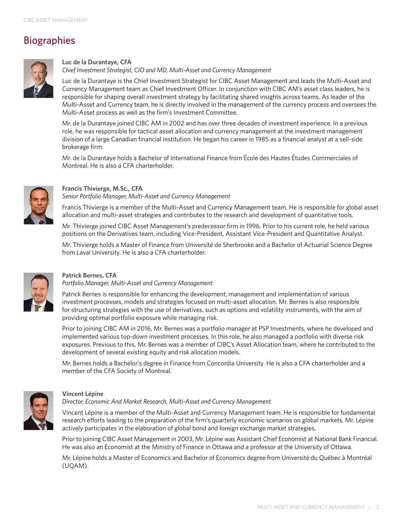## Biographies



#### **Luc de la Durantaye, CFA**

*Chief Investment Strategist, CIO and MD, Multi-Asset and Currency Management*

Luc de la Durantaye is the Chief Investment Strategist for CIBC Asset Management and leads the Multi-Asset and Currency Management team as Chief Investment Officer. In conjunction with CIBC AM's asset class leaders, he is responsible for shaping overall investment strategy by facilitating shared insights across teams. As leader of the Multi-Asset and Currency team, he is directly involved in the management of the currency process and oversees the Multi-Asset process as well as the firm's Investment Committee.

Mr. de la Durantaye joined CIBC AM in 2002 and has over three decades of investment experience. In a previous role, he was responsible for tactical asset allocation and currency management at the investment management division of a large Canadian financial institution. He began his career in 1985 as a financial analyst at a sell-side brokerage firm.

Mr. de la Durantaye holds a Bachelor of International Finance from École des Hautes Études Commerciales of Montreal. He is also a CFA charterholder.



#### **Francis Thivierge, M.Sc., CFA**

*Senior Portfolio Manager, Multi-Asset and Currency Management*

Francis Thivierge is a member of the Multi-Asset and Currency Management team. He is responsible for global asset allocation and multi-asset strategies and contributes to the research and development of quantitative tools.

Mr. Thivierge joined CIBC Asset Management's predecessor firm in 1996. Prior to his current role, he held various positions on the Derivatives team, including Vice-President, Assistant Vice-President and Quantitative Analyst.

Mr. Thivierge holds a Master of Finance from Université de Sherbrooke and a Bachelor of Actuarial Science Degree from Laval University. He is also a CFA charterholder.



#### **Patrick Bernes, CFA**

*Portfolio Manager, Multi-Asset and Currency Management* 

Patrick Bernes is responsible for enhancing the development, management and implementation of various investment processes, models and strategies focused on multi-asset allocation. Mr. Bernes is also responsible for structuring strategies with the use of derivatives, such as options and volatility instruments, with the aim of providing optimal portfolio exposure while managing risk.

Prior to joining CIBC AM in 2016, Mr. Bernes was a portfolio manager at PSP Investments, where he developed and implemented various top-down investment processes. In this role, he also managed a portfolio with diverse risk exposures. Previous to this, Mr. Bernes was a member of CIBC's Asset Allocation team, where he contributed to the development of several existing equity and risk allocation models.

Mr. Bernes holds a Bachelor's degree in Finance from Concordia University. He is also a CFA charterholder and a member of the CFA Society of Montreal.



#### **Vincent Lépine**

*Director, Economic And Market Research, Multi-Asset and Currency Management* 

Vincent Lépine is a member of the Multi-Asset and Currency Management team. He is responsible for fundamental research efforts leading to the preparation of the firm's quarterly economic scenarios on global markets. Mr. Lépine actively participates in the elaboration of global bond and foreign exchange market strategies.

Prior to joining CIBC Asset Management in 2003, Mr. Lépine was Assistant Chief Economist at National Bank Financial. He was also an Economist at the Ministry of Finance in Ottawa and a professor at the University of Ottawa.

Mr. Lépine holds a Master of Economics and Bachelor of Economics degree from Université du Québec à Montréal (UQAM).